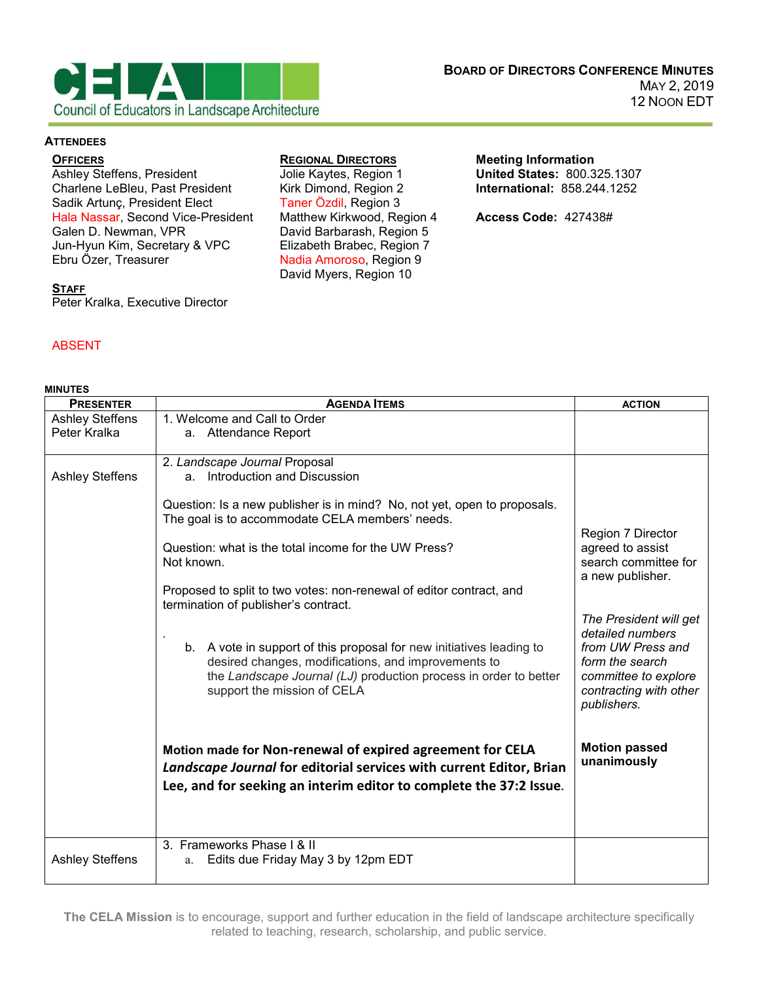

#### **ATTENDEES**

### **OFFICERS**

Ashley Steffens, President Charlene LeBleu, Past President Sadik Artunç, President Elect Hala Nassar, Second Vice-President Galen D. Newman, VPR Jun-Hyun Kim, Secretary & VPC Ebru Özer, Treasurer

## **REGIONAL DIRECTORS**

Jolie Kaytes, Region 1 Kirk Dimond, Region 2 Taner Özdil, Region 3 Matthew Kirkwood, Region 4 David Barbarash, Region 5 Elizabeth Brabec, Region 7 Nadia Amoroso, Region 9 David Myers, Region 10

**Meeting Information United States:** 800.325.1307 **International:** 858.244.1252

**Access Code:** 427438#

### **STAFF**

Peter Kralka, Executive Director

# ABSENT

| <b>MINUTES</b>                         |                                                                                                                                                                                                                                                                                                                                                                                        |                                                                                                                                                     |
|----------------------------------------|----------------------------------------------------------------------------------------------------------------------------------------------------------------------------------------------------------------------------------------------------------------------------------------------------------------------------------------------------------------------------------------|-----------------------------------------------------------------------------------------------------------------------------------------------------|
| <b>PRESENTER</b>                       | <b>AGENDA ITEMS</b>                                                                                                                                                                                                                                                                                                                                                                    | <b>ACTION</b>                                                                                                                                       |
| <b>Ashley Steffens</b><br>Peter Kralka | 1. Welcome and Call to Order<br>a. Attendance Report                                                                                                                                                                                                                                                                                                                                   |                                                                                                                                                     |
| <b>Ashley Steffens</b>                 | 2. Landscape Journal Proposal<br>Introduction and Discussion<br>a.<br>Question: Is a new publisher is in mind? No, not yet, open to proposals.<br>The goal is to accommodate CELA members' needs.<br>Question: what is the total income for the UW Press?<br>Not known.<br>Proposed to split to two votes: non-renewal of editor contract, and<br>termination of publisher's contract. | Region 7 Director<br>agreed to assist<br>search committee for<br>a new publisher.                                                                   |
|                                        | b. A vote in support of this proposal for new initiatives leading to<br>desired changes, modifications, and improvements to<br>the Landscape Journal (LJ) production process in order to better<br>support the mission of CELA                                                                                                                                                         | The President will get<br>detailed numbers<br>from UW Press and<br>form the search<br>committee to explore<br>contracting with other<br>publishers. |
|                                        | Motion made for Non-renewal of expired agreement for CELA<br>Landscape Journal for editorial services with current Editor, Brian<br>Lee, and for seeking an interim editor to complete the 37:2 Issue.                                                                                                                                                                                 | <b>Motion passed</b><br>unanimously                                                                                                                 |
| <b>Ashley Steffens</b>                 | 3. Frameworks Phase I & II<br>Edits due Friday May 3 by 12pm EDT<br>a.                                                                                                                                                                                                                                                                                                                 |                                                                                                                                                     |

**The CELA Mission** is to encourage, support and further education in the field of landscape architecture specifically related to teaching, research, scholarship, and public service.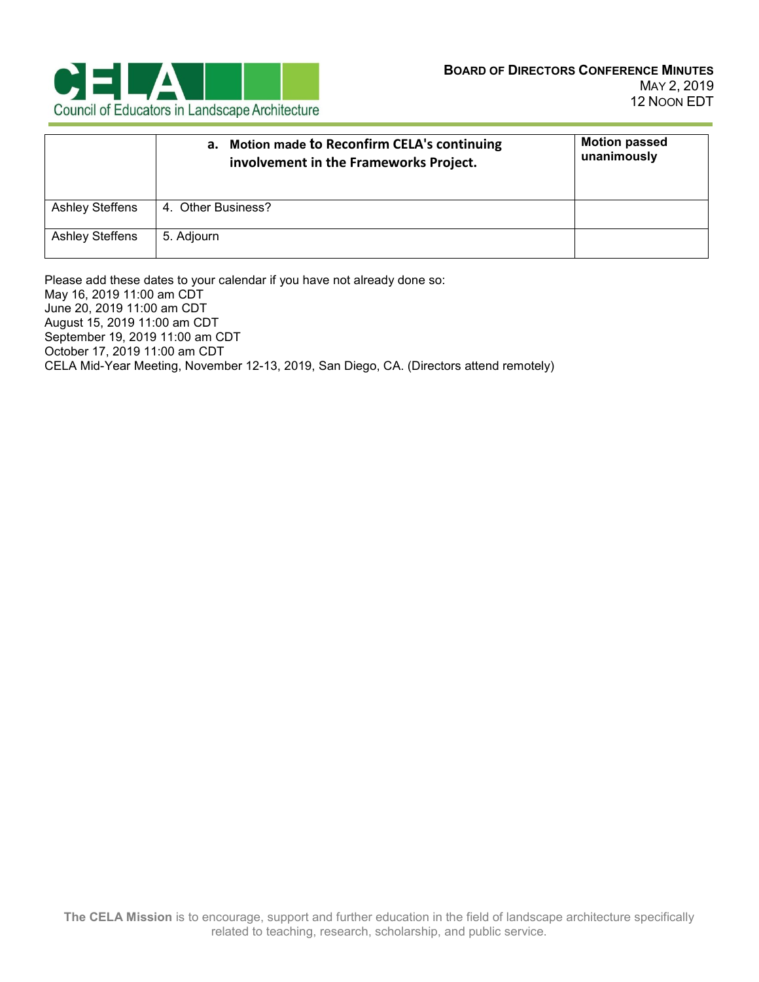

|                        | a. Motion made to Reconfirm CELA's continuing<br>involvement in the Frameworks Project. | <b>Motion passed</b><br>unanimously |
|------------------------|-----------------------------------------------------------------------------------------|-------------------------------------|
| <b>Ashley Steffens</b> | 4. Other Business?                                                                      |                                     |
| <b>Ashley Steffens</b> | 5. Adjourn                                                                              |                                     |

Please add these dates to your calendar if you have not already done so: May 16, 2019 11:00 am CDT June 20, 2019 11:00 am CDT August 15, 2019 11:00 am CDT September 19, 2019 11:00 am CDT October 17, 2019 11:00 am CDT CELA Mid-Year Meeting, November 12-13, 2019, San Diego, CA. (Directors attend remotely)